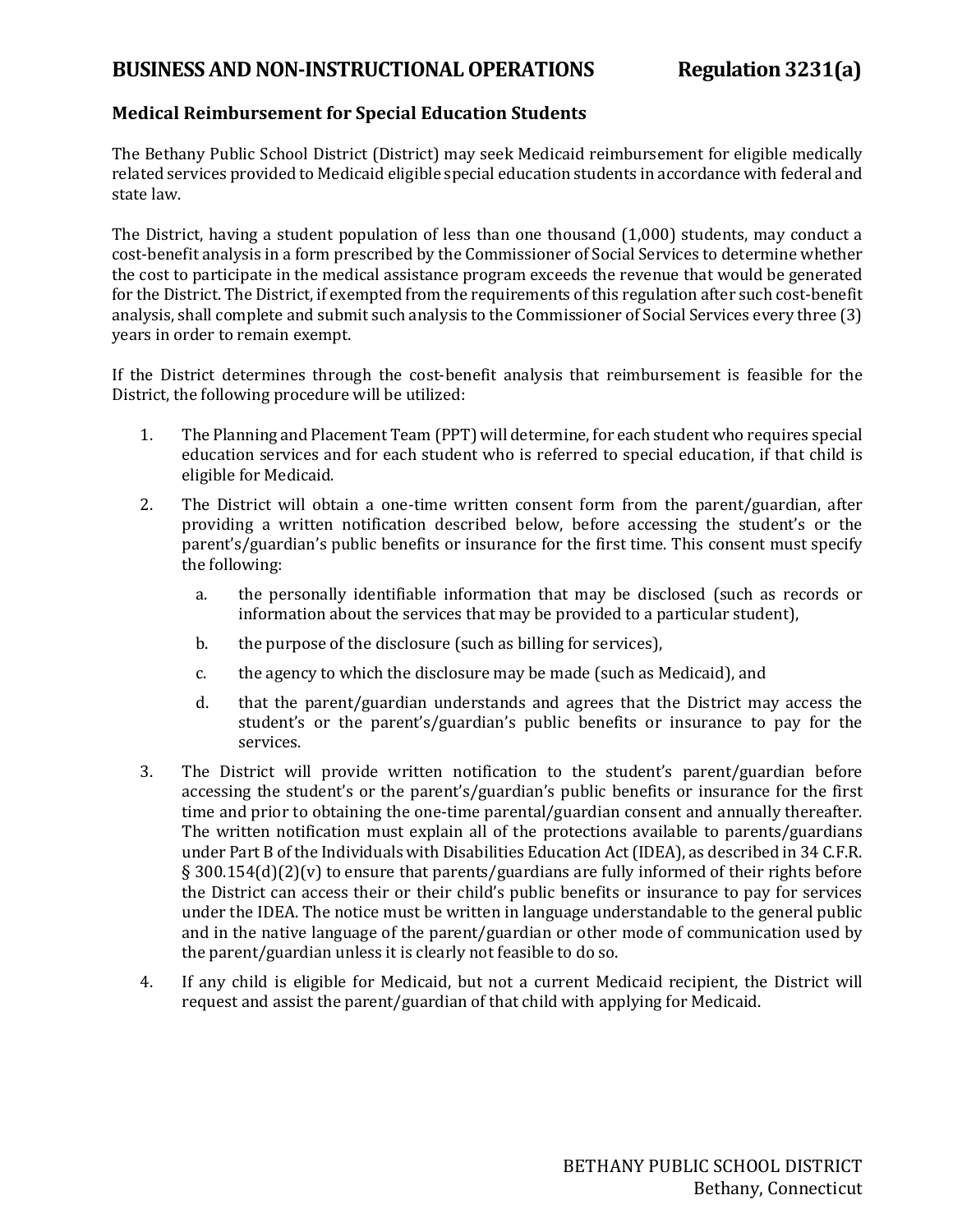## **BUSINESSAND NON-INSTRUCTIONAL OPERATIONS Regulation 3231(a)**

## **Medical Reimbursement for Special Education Students**

The Bethany Public School District (District) may seek Medicaid reimbursement for eligible medically related services provided to Medicaid eligible special education students in accordance with federal and state law.

The District, having a student population of less than one thousand (1,000) students, may conduct a cost-benefit analysis in a form prescribed by the Commissioner of Social Services to determine whether the cost to participate in the medical assistance program exceeds the revenue that would be generated for the District. The District, if exempted from the requirements of this regulation after such cost-benefit analysis, shall complete and submit such analysis to the Commissioner of Social Services every three (3) years in order to remain exempt.

If the District determines through the cost-benefit analysis that reimbursement is feasible for the District, the following procedure will be utilized:

- 1. The Planning and Placement Team (PPT) will determine, for each student who requires special education services and for each student who is referred to special education, if that child is eligible for Medicaid.
- 2. The District will obtain a one-time written consent form from the parent/guardian, after providing a written notification described below, before accessing the student's or the parent's/guardian's public benefits or insurance for the first time. This consent must specify the following:
	- a. the personally identifiable information that may be disclosed (such as records or information about the services that may be provided to a particular student),
	- b. the purpose of the disclosure (such as billing for services),
	- c. the agency to which the disclosure may be made (such as Medicaid), and
	- d. that the parent/guardian understands and agrees that the District may access the student's or the parent's/guardian's public benefits or insurance to pay for the services.
- 3. The District will provide written notification to the student's parent/guardian before accessing the student's or the parent's/guardian's public benefits or insurance for the first time and prior to obtaining the one-time parental/guardian consent and annually thereafter. The written notification must explain all of the protections available to parents/guardians under Part B of the Individuals with Disabilities Education Act(IDEA), as described in 34 C.F.R. § 300.154(d)(2)(v) to ensure that parents/guardians are fully informed of their rights before the District can access their or their child's public benefits or insurance to pay for services under the IDEA. The notice must be written in language understandable to the general public and in the native language of the parent/guardian or other mode of communication used by the parent/guardian unless it is clearly not feasible to do so.
- 4. If any child is eligible for Medicaid, but not a current Medicaid recipient, the District will request and assist the parent/guardian of that child with applying for Medicaid.